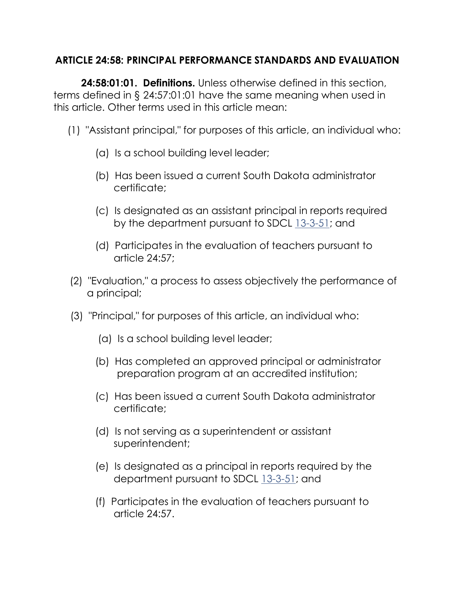### **ARTICLE 24:58: PRINCIPAL PERFORMANCE STANDARDS AND EVALUATION**

 **24:58:01:01. Definitions.** Unless otherwise defined in this section, terms defined in § 24:57:01:01 have the same meaning when used in this article. Other terms used in this article mean:

- (1) "Assistant principal," for purposes of this article, an individual who:
	- (a) Is a school building level leader;
	- (b) Has been issued a current South Dakota administrator certificate;
	- (c) Is designated as an assistant principal in reports required by the department pursuant to SDCL [13-3-51;](http://www.sdlegislature.gov/statutes/DisplayStatute.aspx?Type=Statute&Statute=13-3-51) and
	- (d) Participates in the evaluation of teachers pursuant to article 24:57;
- (2) "Evaluation," a process to assess objectively the performance of a principal;
- (3) "Principal," for purposes of this article, an individual who:
	- (a) Is a school building level leader;
	- (b) Has completed an approved principal or administrator preparation program at an accredited institution;
	- (c) Has been issued a current South Dakota administrator certificate;
	- (d) Is not serving as a superintendent or assistant superintendent;
	- (e) Is designated as a principal in reports required by the department pursuant to SDCL [13-3-51;](http://www.sdlegislature.gov/statutes/DisplayStatute.aspx?Type=Statute&Statute=13-3-51) and
	- (f) Participates in the evaluation of teachers pursuant to article 24:57.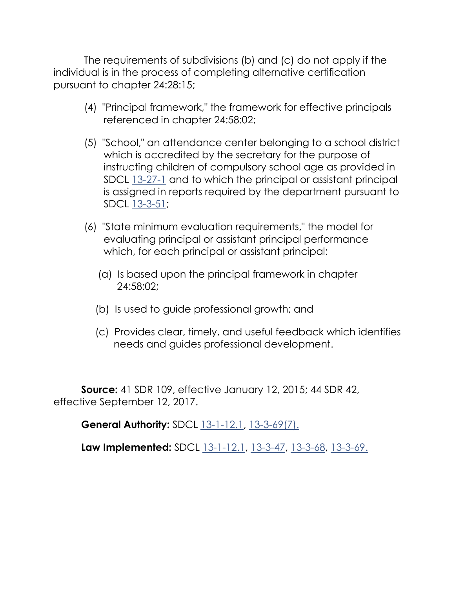The requirements of subdivisions (b) and (c) do not apply if the individual is in the process of completing alternative certification pursuant to chapter 24:28:15;

- (4) "Principal framework," the framework for effective principals referenced in chapter 24:58:02;
- (5) "School," an attendance center belonging to a school district which is accredited by the secretary for the purpose of instructing children of compulsory school age as provided in SDCL [13-27-1](http://www.sdlegislature.gov/statutes/DisplayStatute.aspx?Type=Statute&Statute=13-27-1) and to which the principal or assistant principal is assigned in reports required by the department pursuant to SDCL [13-3-51;](http://www.sdlegislature.gov/statutes/DisplayStatute.aspx?Type=Statute&Statute=13-3-51)
- (6) "State minimum evaluation requirements," the model for evaluating principal or assistant principal performance which, for each principal or assistant principal:
	- (a) Is based upon the principal framework in chapter 24:58:02;
	- (b) Is used to guide professional growth; and
	- (c) Provides clear, timely, and useful feedback which identifies needs and guides professional development.

 **Source:** 41 SDR 109, effective January 12, 2015; 44 SDR 42, effective September 12, 2017.

**General Authority:** SDCL [13-1-12.1,](http://www.sdlegislature.gov/statutes/DisplayStatute.aspx?Type=Statute&Statute=13-1-12.1) [13-3-69\(7\).](http://www.sdlegislature.gov/statutes/DisplayStatute.aspx?Type=Statute&Statute=13-3-69)

**Law Implemented:** SDCL [13-1-12.1,](http://www.sdlegislature.gov/statutes/DisplayStatute.aspx?Type=Statute&Statute=13-1-12.1) [13-3-47,](http://www.sdlegislature.gov/statutes/DisplayStatute.aspx?Type=Statute&Statute=13-3-47) [13-3-68,](http://www.sdlegislature.gov/statutes/DisplayStatute.aspx?Type=Statute&Statute=13-3-68) [13-3-69.](http://www.sdlegislature.gov/statutes/DisplayStatute.aspx?Type=Statute&Statute=13-3-69)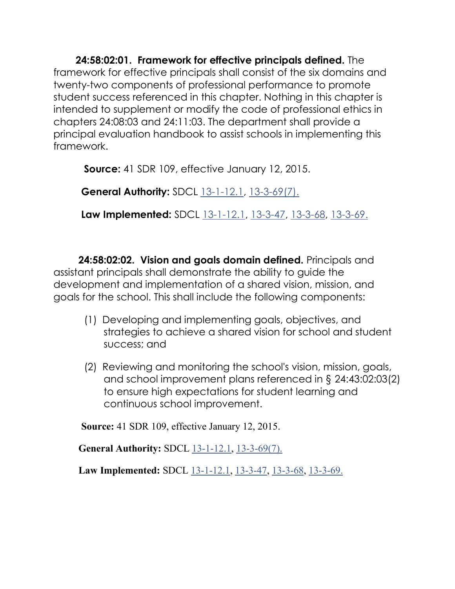**24:58:02:01. Framework for effective principals defined.** The framework for effective principals shall consist of the six domains and twenty-two components of professional performance to promote student success referenced in this chapter. Nothing in this chapter is intended to supplement or modify the code of professional ethics in chapters 24:08:03 and 24:11:03. The department shall provide a principal evaluation handbook to assist schools in implementing this framework.

**Source:** 41 SDR 109, effective January 12, 2015.

**General Authority:** SDCL [13-1-12.1,](http://www.sdlegislature.gov/statutes/DisplayStatute.aspx?Type=Statute&Statute=13-1-12.1) [13-3-69\(7\).](http://www.sdlegislature.gov/statutes/DisplayStatute.aspx?Type=Statute&Statute=13-3-69)

**Law Implemented:** SDCL [13-1-12.1,](http://www.sdlegislature.gov/statutes/DisplayStatute.aspx?Type=Statute&Statute=13-1-12.1) [13-3-47,](http://www.sdlegislature.gov/statutes/DisplayStatute.aspx?Type=Statute&Statute=13-3-47) [13-3-68,](http://www.sdlegislature.gov/statutes/DisplayStatute.aspx?Type=Statute&Statute=13-3-68) [13-3-69.](http://www.sdlegislature.gov/statutes/DisplayStatute.aspx?Type=Statute&Statute=13-3-69)

 **24:58:02:02. Vision and goals domain defined.** Principals and assistant principals shall demonstrate the ability to guide the development and implementation of a shared vision, mission, and goals for the school. This shall include the following components:

- (1) Developing and implementing goals, objectives, and strategies to achieve a shared vision for school and student success; and
- (2) Reviewing and monitoring the school's vision, mission, goals, and school improvement plans referenced in § 24:43:02:03(2) to ensure high expectations for student learning and continuous school improvement.

**Source:** 41 SDR 109, effective January 12, 2015.

**General Authority:** SDCL [13-1-12.1,](http://www.sdlegislature.gov/statutes/DisplayStatute.aspx?Type=Statute&Statute=13-1-12.1) [13-3-69\(7\).](http://www.sdlegislature.gov/statutes/DisplayStatute.aspx?Type=Statute&Statute=13-3-69)

Law Implemented: SDCL [13-1-12.1,](http://www.sdlegislature.gov/statutes/DisplayStatute.aspx?Type=Statute&Statute=13-1-12.1) [13-3-47,](http://www.sdlegislature.gov/statutes/DisplayStatute.aspx?Type=Statute&Statute=13-3-47) [13-3-68,](http://www.sdlegislature.gov/statutes/DisplayStatute.aspx?Type=Statute&Statute=13-3-68) [13-3-69.](http://www.sdlegislature.gov/statutes/DisplayStatute.aspx?Type=Statute&Statute=13-3-69)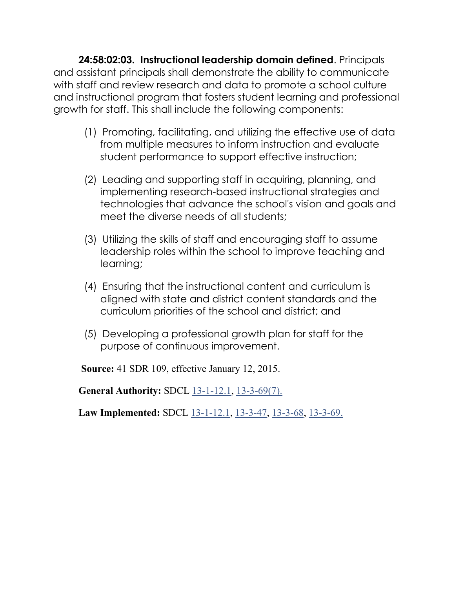**24:58:02:03. Instructional leadership domain defined**. Principals and assistant principals shall demonstrate the ability to communicate with staff and review research and data to promote a school culture and instructional program that fosters student learning and professional growth for staff. This shall include the following components:

- (1) Promoting, facilitating, and utilizing the effective use of data from multiple measures to inform instruction and evaluate student performance to support effective instruction;
- (2) Leading and supporting staff in acquiring, planning, and implementing research-based instructional strategies and technologies that advance the school's vision and goals and meet the diverse needs of all students;
- (3) Utilizing the skills of staff and encouraging staff to assume leadership roles within the school to improve teaching and learning;
- (4) Ensuring that the instructional content and curriculum is aligned with state and district content standards and the curriculum priorities of the school and district; and
- (5) Developing a professional growth plan for staff for the purpose of continuous improvement.

**Source:** 41 SDR 109, effective January 12, 2015.

**General Authority:** SDCL [13-1-12.1,](http://www.sdlegislature.gov/statutes/DisplayStatute.aspx?Type=Statute&Statute=13-1-12.1) [13-3-69\(7\).](http://www.sdlegislature.gov/statutes/DisplayStatute.aspx?Type=Statute&Statute=13-3-69)

**Law Implemented:** SDCL [13-1-12.1,](http://www.sdlegislature.gov/statutes/DisplayStatute.aspx?Type=Statute&Statute=13-1-12.1) [13-3-47,](http://www.sdlegislature.gov/statutes/DisplayStatute.aspx?Type=Statute&Statute=13-3-47) [13-3-68,](http://www.sdlegislature.gov/statutes/DisplayStatute.aspx?Type=Statute&Statute=13-3-68) [13-3-69.](http://www.sdlegislature.gov/statutes/DisplayStatute.aspx?Type=Statute&Statute=13-3-69)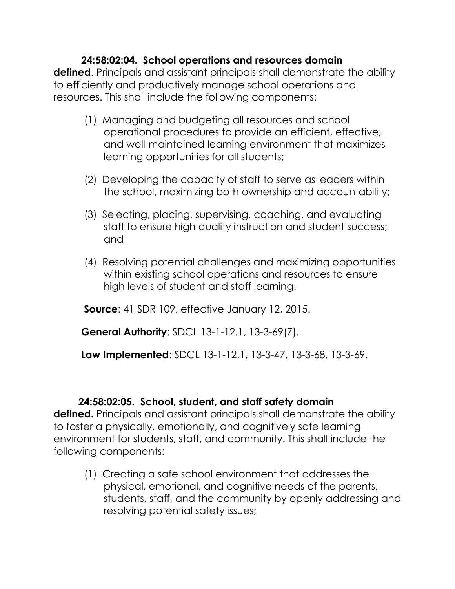## **24:58:02:04. School operations and resources domain**

**defined**. Principals and assistant principals shall demonstrate the ability to efficiently and productively manage school operations and resources. This shall include the following components:

- (1) Managing and budgeting all resources and school operational procedures to provide an efficient, effective, and well-maintained learning environment that maximizes learning opportunities for all students;
- (2) Developing the capacity of staff to serve as leaders within the school, maximizing both ownership and accountability;
- (3) Selecting, placing, supervising, coaching, and evaluating staff to ensure high quality instruction and student success; and
- (4) Resolving potential challenges and maximizing opportunities within existing school operations and resources to ensure high levels of student and staff learning.

**Source**: 41 SDR 109, effective January 12, 2015.

**General Authority**: SDCL [13-1-12.1,](http://www.sdlegislature.gov/statutes/DisplayStatute.aspx?Type=Statute&Statute=13-1-12.1) [13-3-69\(7\).](http://www.sdlegislature.gov/statutes/DisplayStatute.aspx?Type=Statute&Statute=13-3-69)

**Law Implemented**: SDCL [13-1-12.1,](http://www.sdlegislature.gov/statutes/DisplayStatute.aspx?Type=Statute&Statute=13-1-12.1) [13-3-47,](http://www.sdlegislature.gov/statutes/DisplayStatute.aspx?Type=Statute&Statute=13-3-47) [13-3-68,](http://www.sdlegislature.gov/statutes/DisplayStatute.aspx?Type=Statute&Statute=13-3-68) [13-3-69.](http://www.sdlegislature.gov/statutes/DisplayStatute.aspx?Type=Statute&Statute=13-3-69)

#### **24:58:02:05. School, student, and staff safety domain**

**defined.** Principals and assistant principals shall demonstrate the ability to foster a physically, emotionally, and cognitively safe learning environment for students, staff, and community. This shall include the following components:

 (1) Creating a safe school environment that addresses the physical, emotional, and cognitive needs of the parents, students, staff, and the community by openly addressing and resolving potential safety issues;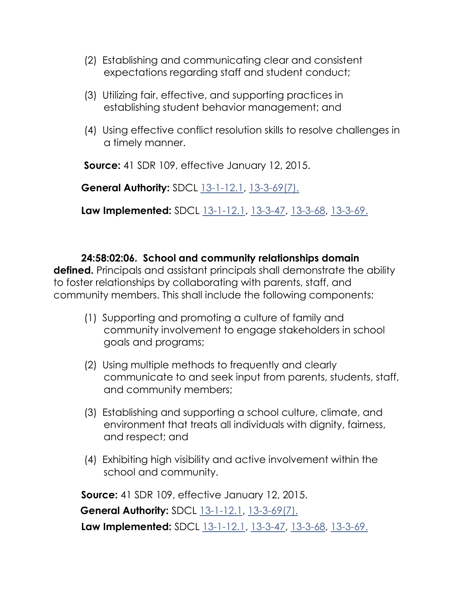- (2) Establishing and communicating clear and consistent expectations regarding staff and student conduct;
- (3) Utilizing fair, effective, and supporting practices in establishing student behavior management; and
- (4) Using effective conflict resolution skills to resolve challenges in a timely manner.

**Source:** 41 SDR 109, effective January 12, 2015.

**General Authority:** SDCL [13-1-12.1,](http://www.sdlegislature.gov/statutes/DisplayStatute.aspx?Type=Statute&Statute=13-1-12.1) [13-3-69\(7\).](http://www.sdlegislature.gov/statutes/DisplayStatute.aspx?Type=Statute&Statute=13-3-69)

**Law Implemented:** SDCL [13-1-12.1,](http://www.sdlegislature.gov/statutes/DisplayStatute.aspx?Type=Statute&Statute=13-1-12.1) [13-3-47,](http://www.sdlegislature.gov/statutes/DisplayStatute.aspx?Type=Statute&Statute=13-3-47) [13-3-68,](http://www.sdlegislature.gov/statutes/DisplayStatute.aspx?Type=Statute&Statute=13-3-68) [13-3-69.](http://www.sdlegislature.gov/statutes/DisplayStatute.aspx?Type=Statute&Statute=13-3-69)

 **24:58:02:06. School and community relationships domain defined.** Principals and assistant principals shall demonstrate the ability to foster relationships by collaborating with parents, staff, and community members. This shall include the following components:

- (1) Supporting and promoting a culture of family and community involvement to engage stakeholders in school goals and programs;
- (2) Using multiple methods to frequently and clearly communicate to and seek input from parents, students, staff, and community members;
- (3) Establishing and supporting a school culture, climate, and environment that treats all individuals with dignity, fairness, and respect; and
- (4) Exhibiting high visibility and active involvement within the school and community.

**Source:** 41 SDR 109, effective January 12, 2015.

**General Authority:** SDCL [13-1-12.1,](http://www.sdlegislature.gov/statutes/DisplayStatute.aspx?Type=Statute&Statute=13-1-12.1) [13-3-69\(7\).](http://www.sdlegislature.gov/statutes/DisplayStatute.aspx?Type=Statute&Statute=13-3-69) **Law Implemented:** SDCL [13-1-12.1,](http://www.sdlegislature.gov/statutes/DisplayStatute.aspx?Type=Statute&Statute=13-1-12.1) [13-3-47,](http://www.sdlegislature.gov/statutes/DisplayStatute.aspx?Type=Statute&Statute=13-3-47) [13-3-68,](http://www.sdlegislature.gov/statutes/DisplayStatute.aspx?Type=Statute&Statute=13-3-68) [13-3-69.](http://www.sdlegislature.gov/statutes/DisplayStatute.aspx?Type=Statute&Statute=13-3-69)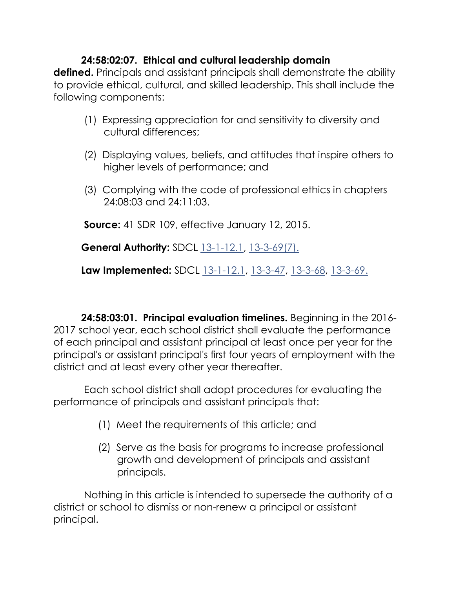# **24:58:02:07. Ethical and cultural leadership domain**

**defined.** Principals and assistant principals shall demonstrate the ability to provide ethical, cultural, and skilled leadership. This shall include the following components:

- (1) Expressing appreciation for and sensitivity to diversity and cultural differences;
- (2) Displaying values, beliefs, and attitudes that inspire others to higher levels of performance; and
- (3) Complying with the code of professional ethics in chapters 24:08:03 and 24:11:03.

**Source:** 41 SDR 109, effective January 12, 2015.

**General Authority:** SDCL [13-1-12.1,](http://www.sdlegislature.gov/statutes/DisplayStatute.aspx?Type=Statute&Statute=13-1-12.1) [13-3-69\(7\).](http://www.sdlegislature.gov/statutes/DisplayStatute.aspx?Type=Statute&Statute=13-3-69)

**Law Implemented:** SDCL [13-1-12.1,](http://www.sdlegislature.gov/statutes/DisplayStatute.aspx?Type=Statute&Statute=13-1-12.1) [13-3-47,](http://www.sdlegislature.gov/statutes/DisplayStatute.aspx?Type=Statute&Statute=13-3-47) [13-3-68,](http://www.sdlegislature.gov/statutes/DisplayStatute.aspx?Type=Statute&Statute=13-3-68) [13-3-69.](http://www.sdlegislature.gov/statutes/DisplayStatute.aspx?Type=Statute&Statute=13-3-69)

 **24:58:03:01. Principal evaluation timelines.** Beginning in the 2016- 2017 school year, each school district shall evaluate the performance of each principal and assistant principal at least once per year for the principal's or assistant principal's first four years of employment with the district and at least every other year thereafter.

 Each school district shall adopt procedures for evaluating the performance of principals and assistant principals that:

- (1) Meet the requirements of this article; and
- (2) Serve as the basis for programs to increase professional growth and development of principals and assistant principals.

 Nothing in this article is intended to supersede the authority of a district or school to dismiss or non-renew a principal or assistant principal.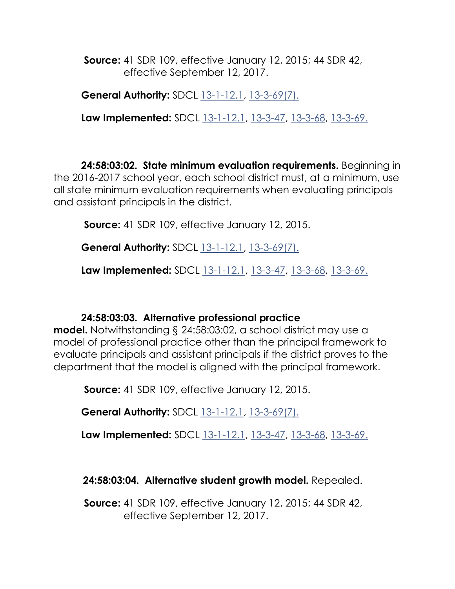**Source:** 41 SDR 109, effective January 12, 2015; 44 SDR 42, effective September 12, 2017.

**General Authority:** SDCL [13-1-12.1,](http://www.sdlegislature.gov/statutes/DisplayStatute.aspx?Type=Statute&Statute=13-1-12.1) [13-3-69\(7\).](http://www.sdlegislature.gov/statutes/DisplayStatute.aspx?Type=Statute&Statute=13-3-69)

**Law Implemented:** SDCL [13-1-12.1,](http://www.sdlegislature.gov/statutes/DisplayStatute.aspx?Type=Statute&Statute=13-1-12.1) [13-3-47,](http://www.sdlegislature.gov/statutes/DisplayStatute.aspx?Type=Statute&Statute=13-3-47) [13-3-68,](http://www.sdlegislature.gov/statutes/DisplayStatute.aspx?Type=Statute&Statute=13-3-68) [13-3-69.](http://www.sdlegislature.gov/statutes/DisplayStatute.aspx?Type=Statute&Statute=13-3-69)

 **24:58:03:02. State minimum evaluation requirements.** Beginning in the 2016-2017 school year, each school district must, at a minimum, use all state minimum evaluation requirements when evaluating principals and assistant principals in the district.

**Source:** 41 SDR 109, effective January 12, 2015.

**General Authority:** SDCL [13-1-12.1,](http://www.sdlegislature.gov/statutes/DisplayStatute.aspx?Type=Statute&Statute=13-1-12.1) [13-3-69\(7\).](http://www.sdlegislature.gov/statutes/DisplayStatute.aspx?Type=Statute&Statute=13-3-69)

**Law Implemented:** SDCL [13-1-12.1,](http://www.sdlegislature.gov/statutes/DisplayStatute.aspx?Type=Statute&Statute=13-1-12.1) [13-3-47,](http://www.sdlegislature.gov/statutes/DisplayStatute.aspx?Type=Statute&Statute=13-3-47) [13-3-68,](http://www.sdlegislature.gov/statutes/DisplayStatute.aspx?Type=Statute&Statute=13-3-68) [13-3-69.](http://www.sdlegislature.gov/statutes/DisplayStatute.aspx?Type=Statute&Statute=13-3-69)

## **24:58:03:03. Alternative professional practice**

**model.** Notwithstanding § 24:58:03:02, a school district may use a model of professional practice other than the principal framework to evaluate principals and assistant principals if the district proves to the department that the model is aligned with the principal framework.

**Source:** 41 SDR 109, effective January 12, 2015.

**General Authority:** SDCL [13-1-12.1,](http://www.sdlegislature.gov/statutes/DisplayStatute.aspx?Type=Statute&Statute=13-1-12.1) [13-3-69\(7\).](http://www.sdlegislature.gov/statutes/DisplayStatute.aspx?Type=Statute&Statute=13-3-69)

**Law Implemented:** SDCL [13-1-12.1,](http://www.sdlegislature.gov/statutes/DisplayStatute.aspx?Type=Statute&Statute=13-1-12.1) [13-3-47,](http://www.sdlegislature.gov/statutes/DisplayStatute.aspx?Type=Statute&Statute=13-3-47) [13-3-68,](http://www.sdlegislature.gov/statutes/DisplayStatute.aspx?Type=Statute&Statute=13-3-68) [13-3-69.](http://www.sdlegislature.gov/statutes/DisplayStatute.aspx?Type=Statute&Statute=13-3-69)

**24:58:03:04. Alternative student growth model.** Repealed.

 **Source:** 41 SDR 109, effective January 12, 2015; 44 SDR 42, effective September 12, 2017.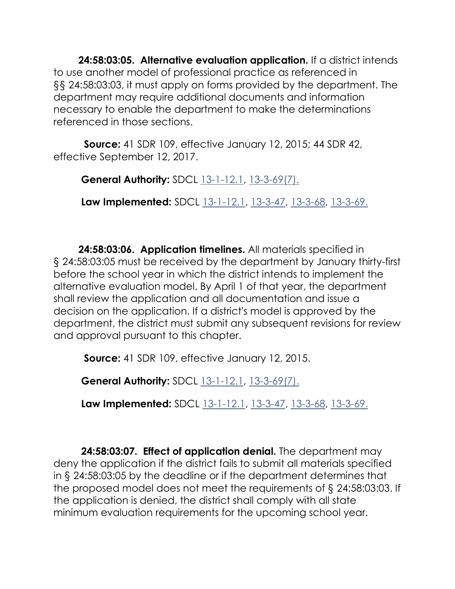**24:58:03:05. Alternative evaluation application.** If a district intends to use another model of professional practice as referenced in §§ 24:58:03:03, it must apply on forms provided by the department. The department may require additional documents and information necessary to enable the department to make the determinations referenced in those sections.

 **Source:** 41 SDR 109, effective January 12, 2015; 44 SDR 42, effective September 12, 2017.

**General Authority:** SDCL [13-1-12.1,](http://www.sdlegislature.gov/statutes/DisplayStatute.aspx?Type=Statute&Statute=13-1-12.1) [13-3-69\(7\).](http://www.sdlegislature.gov/statutes/DisplayStatute.aspx?Type=Statute&Statute=13-3-69)

**Law Implemented:** SDCL [13-1-12.1,](http://www.sdlegislature.gov/statutes/DisplayStatute.aspx?Type=Statute&Statute=13-1-12.1) [13-3-47,](http://www.sdlegislature.gov/statutes/DisplayStatute.aspx?Type=Statute&Statute=13-3-47) [13-3-68,](http://www.sdlegislature.gov/statutes/DisplayStatute.aspx?Type=Statute&Statute=13-3-68) [13-3-69.](http://www.sdlegislature.gov/statutes/DisplayStatute.aspx?Type=Statute&Statute=13-3-69)

 **24:58:03:06. Application timelines.** All materials specified in § 24:58:03:05 must be received by the department by January thirty-first before the school year in which the district intends to implement the alternative evaluation model. By April 1 of that year, the department shall review the application and all documentation and issue a decision on the application. If a district's model is approved by the department, the district must submit any subsequent revisions for review and approval pursuant to this chapter.

**Source:** 41 SDR 109, effective January 12, 2015.

**General Authority:** SDCL [13-1-12.1,](http://www.sdlegislature.gov/statutes/DisplayStatute.aspx?Type=Statute&Statute=13-1-12.1) [13-3-69\(7\).](http://www.sdlegislature.gov/statutes/DisplayStatute.aspx?Type=Statute&Statute=13-3-69)

**Law Implemented:** SDCL [13-1-12.1,](http://www.sdlegislature.gov/statutes/DisplayStatute.aspx?Type=Statute&Statute=13-1-12.1) [13-3-47,](http://www.sdlegislature.gov/statutes/DisplayStatute.aspx?Type=Statute&Statute=13-3-47) [13-3-68,](http://www.sdlegislature.gov/statutes/DisplayStatute.aspx?Type=Statute&Statute=13-3-68) [13-3-69.](http://www.sdlegislature.gov/statutes/DisplayStatute.aspx?Type=Statute&Statute=13-3-69)

 **24:58:03:07. Effect of application denial.** The department may deny the application if the district fails to submit all materials specified in § 24:58:03:05 by the deadline or if the department determines that the proposed model does not meet the requirements of § 24:58:03:03. If the application is denied, the district shall comply with all state minimum evaluation requirements for the upcoming school year.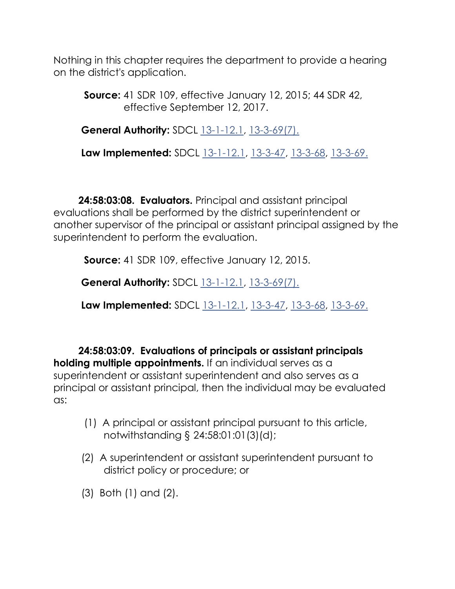Nothing in this chapter requires the department to provide a hearing on the district's application.

 **Source:** 41 SDR 109, effective January 12, 2015; 44 SDR 42, effective September 12, 2017.

**General Authority:** SDCL [13-1-12.1,](http://www.sdlegislature.gov/statutes/DisplayStatute.aspx?Type=Statute&Statute=13-1-12.1) [13-3-69\(7\).](http://www.sdlegislature.gov/statutes/DisplayStatute.aspx?Type=Statute&Statute=13-3-69)

**Law Implemented:** SDCL [13-1-12.1,](http://www.sdlegislature.gov/statutes/DisplayStatute.aspx?Type=Statute&Statute=13-1-12.1) [13-3-47,](http://www.sdlegislature.gov/statutes/DisplayStatute.aspx?Type=Statute&Statute=13-3-47) [13-3-68,](http://www.sdlegislature.gov/statutes/DisplayStatute.aspx?Type=Statute&Statute=13-3-68) [13-3-69.](http://www.sdlegislature.gov/statutes/DisplayStatute.aspx?Type=Statute&Statute=13-3-69)

 **24:58:03:08. Evaluators.** Principal and assistant principal evaluations shall be performed by the district superintendent or another supervisor of the principal or assistant principal assigned by the superintendent to perform the evaluation.

**Source:** 41 SDR 109, effective January 12, 2015.

**General Authority:** SDCL [13-1-12.1,](http://www.sdlegislature.gov/statutes/DisplayStatute.aspx?Type=Statute&Statute=13-1-12.1) [13-3-69\(7\).](http://www.sdlegislature.gov/statutes/DisplayStatute.aspx?Type=Statute&Statute=13-3-69)

**Law Implemented:** SDCL [13-1-12.1,](http://www.sdlegislature.gov/statutes/DisplayStatute.aspx?Type=Statute&Statute=13-1-12.1) [13-3-47,](http://www.sdlegislature.gov/statutes/DisplayStatute.aspx?Type=Statute&Statute=13-3-47) [13-3-68,](http://www.sdlegislature.gov/statutes/DisplayStatute.aspx?Type=Statute&Statute=13-3-68) [13-3-69.](http://www.sdlegislature.gov/statutes/DisplayStatute.aspx?Type=Statute&Statute=13-3-69)

 **24:58:03:09. Evaluations of principals or assistant principals holding multiple appointments.** If an individual serves as a superintendent or assistant superintendent and also serves as a principal or assistant principal, then the individual may be evaluated as:

- (1) A principal or assistant principal pursuant to this article, notwithstanding § 24:58:01:01(3)(d);
- (2) A superintendent or assistant superintendent pursuant to district policy or procedure; or
- (3) Both (1) and (2).